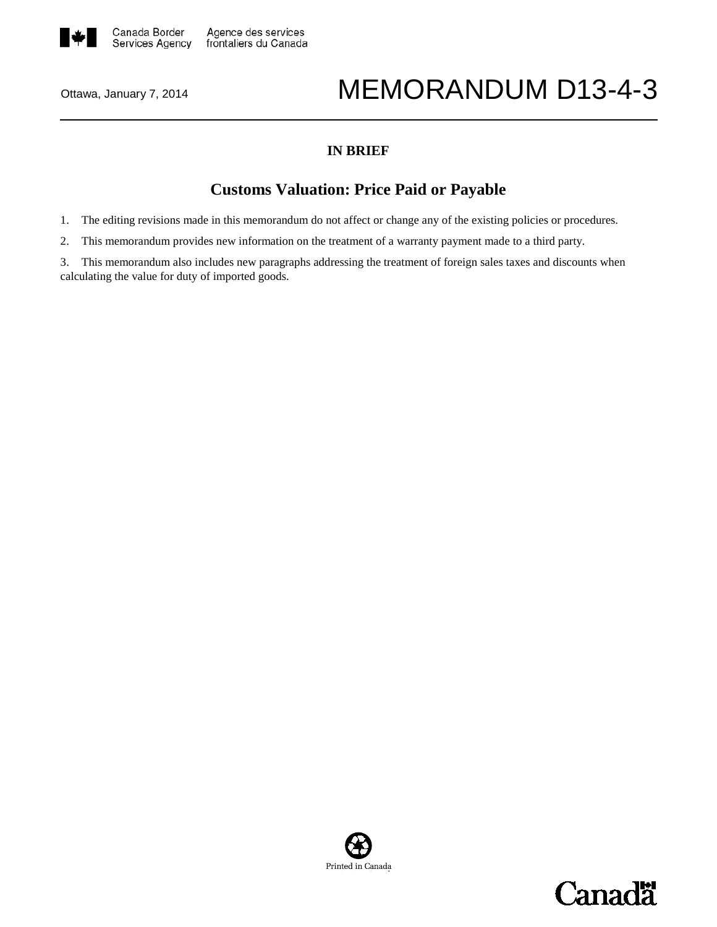

# Ottawa, January 7, 2014 **MEMORANDUM D13-4-3**

### **IN BRIEF**

## **Customs Valuation: Price Paid or Payable**

1. The editing revisions made in this memorandum do not affect or change any of the existing policies or procedures.

2. This memorandum provides new information on the treatment of a warranty payment made to a third party.

3. This memorandum also includes new paragraphs addressing the treatment of foreign sales taxes and discounts when calculating the value for duty of imported goods.



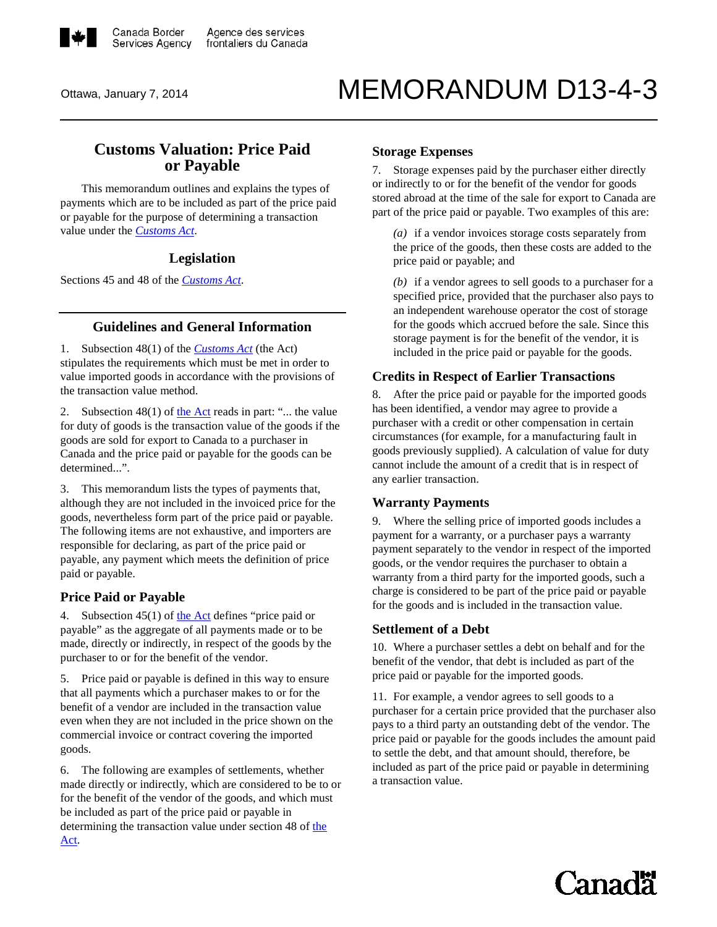

# Ottawa, January 7, 2014 **MEMORANDUM D13-4-3**

### **Customs Valuation: Price Paid or Payable**

This memorandum outlines and explains the types of payments which are to be included as part of the price paid or payable for the purpose of determining a transaction value under the *[Customs Act](http://laws-lois.justice.gc.ca/eng/acts/C-52.6/FullText.html)*.

#### **Legislation**

Sections 45 and 48 of the *[Customs Act](http://laws-lois.justice.gc.ca/eng/acts/C-52.6/FullText.html)*.

#### **Guidelines and General Information**

1. Subsection 48(1) of the *[Customs Act](http://laws-lois.justice.gc.ca/eng/acts/C-52.6/FullText.html)* (the Act) stipulates the requirements which must be met in order to value imported goods in accordance with the provisions of the transaction value method.

2. Subsection  $48(1)$  of [the Act](http://laws-lois.justice.gc.ca/eng/acts/C-52.6/FullText.html) reads in part: "... the value for duty of goods is the transaction value of the goods if the goods are sold for export to Canada to a purchaser in Canada and the price paid or payable for the goods can be determined...".

3. This memorandum lists the types of payments that, although they are not included in the invoiced price for the goods, nevertheless form part of the price paid or payable. The following items are not exhaustive, and importers are responsible for declaring, as part of the price paid or payable, any payment which meets the definition of price paid or payable.

#### **Price Paid or Payable**

4. Subsection  $45(1)$  of [the Act](http://laws-lois.justice.gc.ca/eng/acts/C-52.6/FullText.html) defines "price paid or payable" as the aggregate of all payments made or to be made, directly or indirectly, in respect of the goods by the purchaser to or for the benefit of the vendor.

5. Price paid or payable is defined in this way to ensure that all payments which a purchaser makes to or for the benefit of a vendor are included in the transaction value even when they are not included in the price shown on the commercial invoice or contract covering the imported goods.

6. The following are examples of settlements, whether made directly or indirectly, which are considered to be to or for the benefit of the vendor of the goods, and which must be included as part of the price paid or payable in determining the transaction value under section 48 of [the](http://laws-lois.justice.gc.ca/eng/acts/C-52.6/FullText.html)  [Act.](http://laws-lois.justice.gc.ca/eng/acts/C-52.6/FullText.html)

#### **Storage Expenses**

7. Storage expenses paid by the purchaser either directly or indirectly to or for the benefit of the vendor for goods stored abroad at the time of the sale for export to Canada are part of the price paid or payable. Two examples of this are:

*(a)* if a vendor invoices storage costs separately from the price of the goods, then these costs are added to the price paid or payable; and

*(b)* if a vendor agrees to sell goods to a purchaser for a specified price, provided that the purchaser also pays to an independent warehouse operator the cost of storage for the goods which accrued before the sale. Since this storage payment is for the benefit of the vendor, it is included in the price paid or payable for the goods.

#### **Credits in Respect of Earlier Transactions**

8. After the price paid or payable for the imported goods has been identified, a vendor may agree to provide a purchaser with a credit or other compensation in certain circumstances (for example, for a manufacturing fault in goods previously supplied). A calculation of value for duty cannot include the amount of a credit that is in respect of any earlier transaction.

#### **Warranty Payments**

9. Where the selling price of imported goods includes a payment for a warranty, or a purchaser pays a warranty payment separately to the vendor in respect of the imported goods, or the vendor requires the purchaser to obtain a warranty from a third party for the imported goods, such a charge is considered to be part of the price paid or payable for the goods and is included in the transaction value.

#### **Settlement of a Debt**

10. Where a purchaser settles a debt on behalf and for the benefit of the vendor, that debt is included as part of the price paid or payable for the imported goods.

11. For example, a vendor agrees to sell goods to a purchaser for a certain price provided that the purchaser also pays to a third party an outstanding debt of the vendor. The price paid or payable for the goods includes the amount paid to settle the debt, and that amount should, therefore, be included as part of the price paid or payable in determining a transaction value.

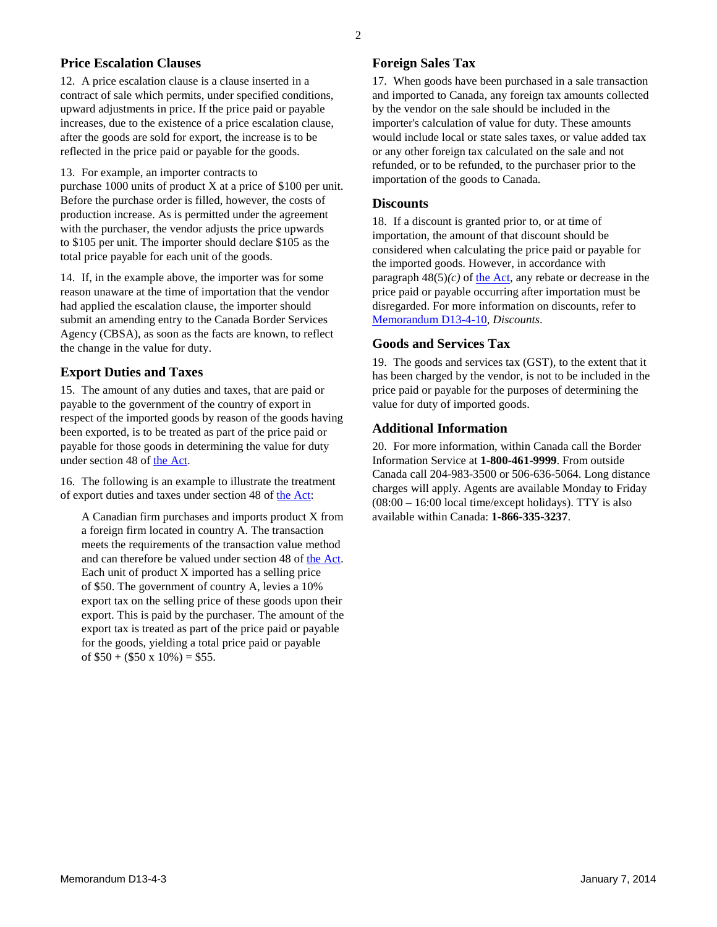#### **Price Escalation Clauses**

12. A price escalation clause is a clause inserted in a contract of sale which permits, under specified conditions, upward adjustments in price. If the price paid or payable increases, due to the existence of a price escalation clause, after the goods are sold for export, the increase is to be reflected in the price paid or payable for the goods.

13. For example, an importer contracts to

purchase 1000 units of product X at a price of \$100 per unit. Before the purchase order is filled, however, the costs of production increase. As is permitted under the agreement with the purchaser, the vendor adjusts the price upwards to \$105 per unit. The importer should declare \$105 as the total price payable for each unit of the goods.

14. If, in the example above, the importer was for some reason unaware at the time of importation that the vendor had applied the escalation clause, the importer should submit an amending entry to the Canada Border Services Agency (CBSA), as soon as the facts are known, to reflect the change in the value for duty.

#### **Export Duties and Taxes**

15. The amount of any duties and taxes, that are paid or payable to the government of the country of export in respect of the imported goods by reason of the goods having been exported, is to be treated as part of the price paid or payable for those goods in determining the value for duty under section 48 of [the Act.](http://laws-lois.justice.gc.ca/eng/acts/C-52.6/FullText.html)

16. The following is an example to illustrate the treatment of export duties and taxes under section 48 of [the Act:](http://laws-lois.justice.gc.ca/eng/acts/C-52.6/FullText.html)

A Canadian firm purchases and imports product X from a foreign firm located in country A. The transaction meets the requirements of the transaction value method and can therefore be valued under section 48 of [the Act.](http://laws-lois.justice.gc.ca/eng/acts/C-52.6/FullText.html) Each unit of product X imported has a selling price of \$50. The government of country A, levies a 10% export tax on the selling price of these goods upon their export. This is paid by the purchaser. The amount of the export tax is treated as part of the price paid or payable for the goods, yielding a total price paid or payable of  $$50 + ($50 \times 10\%) = $55$ .

#### **Foreign Sales Tax**

17. When goods have been purchased in a sale transaction and imported to Canada, any foreign tax amounts collected by the vendor on the sale should be included in the importer's calculation of value for duty. These amounts would include local or state sales taxes, or value added tax or any other foreign tax calculated on the sale and not refunded, or to be refunded, to the purchaser prior to the importation of the goods to Canada.

#### **Discounts**

18. If a discount is granted prior to, or at time of importation, the amount of that discount should be considered when calculating the price paid or payable for the imported goods. However, in accordance with paragraph  $48(5)(c)$  o[f the Act,](http://laws-lois.justice.gc.ca/eng/acts/C-52.6/FullText.html) any rebate or decrease in the price paid or payable occurring after importation must be disregarded. For more information on discounts, refer to [Memorandum D13-4-10,](http://www.cbsa-asfc.gc.ca/publications/dm-md/d13/d13-4-10-eng.html) *Discounts*.

#### **Goods and Services Tax**

19. The goods and services tax (GST), to the extent that it has been charged by the vendor, is not to be included in the price paid or payable for the purposes of determining the value for duty of imported goods.

#### **Additional Information**

20. For more information, within Canada call the Border Information Service at **1-800-461-9999**. From outside Canada call 204-983-3500 or 506-636-5064. Long distance charges will apply. Agents are available Monday to Friday (08:00 – 16:00 local time/except holidays). TTY is also available within Canada: **1-866-335-3237**.